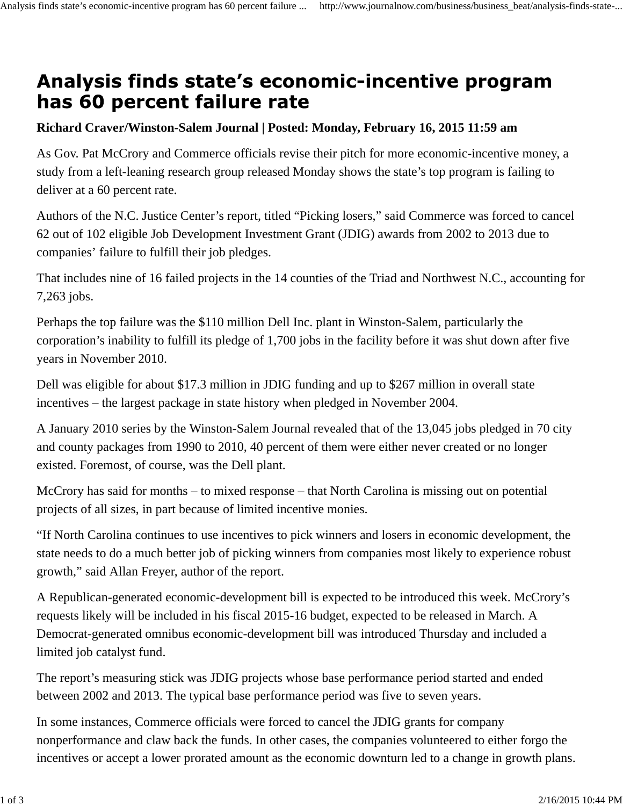## Analysis finds state's economic-incentive program has 60 percent failure rate

## **Richard Craver/Winston-Salem Journal | Posted: Monday, February 16, 2015 11:59 am**

As Gov. Pat McCrory and Commerce officials revise their pitch for more economic-incentive money, a study from a left-leaning research group released Monday shows the state's top program is failing to deliver at a 60 percent rate.

Authors of the N.C. Justice Center's report, titled "Picking losers," said Commerce was forced to cancel 62 out of 102 eligible Job Development Investment Grant (JDIG) awards from 2002 to 2013 due to companies' failure to fulfill their job pledges.

That includes nine of 16 failed projects in the 14 counties of the Triad and Northwest N.C., accounting for 7,263 jobs.

Perhaps the top failure was the \$110 million Dell Inc. plant in Winston-Salem, particularly the corporation's inability to fulfill its pledge of 1,700 jobs in the facility before it was shut down after five years in November 2010.

Dell was eligible for about \$17.3 million in JDIG funding and up to \$267 million in overall state incentives – the largest package in state history when pledged in November 2004.

A January 2010 series by the Winston-Salem Journal revealed that of the 13,045 jobs pledged in 70 city and county packages from 1990 to 2010, 40 percent of them were either never created or no longer existed. Foremost, of course, was the Dell plant.

McCrory has said for months – to mixed response – that North Carolina is missing out on potential projects of all sizes, in part because of limited incentive monies.

"If North Carolina continues to use incentives to pick winners and losers in economic development, the state needs to do a much better job of picking winners from companies most likely to experience robust growth," said Allan Freyer, author of the report.

A Republican-generated economic-development bill is expected to be introduced this week. McCrory's requests likely will be included in his fiscal 2015-16 budget, expected to be released in March. A Democrat-generated omnibus economic-development bill was introduced Thursday and included a limited job catalyst fund.

The report's measuring stick was JDIG projects whose base performance period started and ended between 2002 and 2013. The typical base performance period was five to seven years.

In some instances, Commerce officials were forced to cancel the JDIG grants for company nonperformance and claw back the funds. In other cases, the companies volunteered to either forgo the incentives or accept a lower prorated amount as the economic downturn led to a change in growth plans.